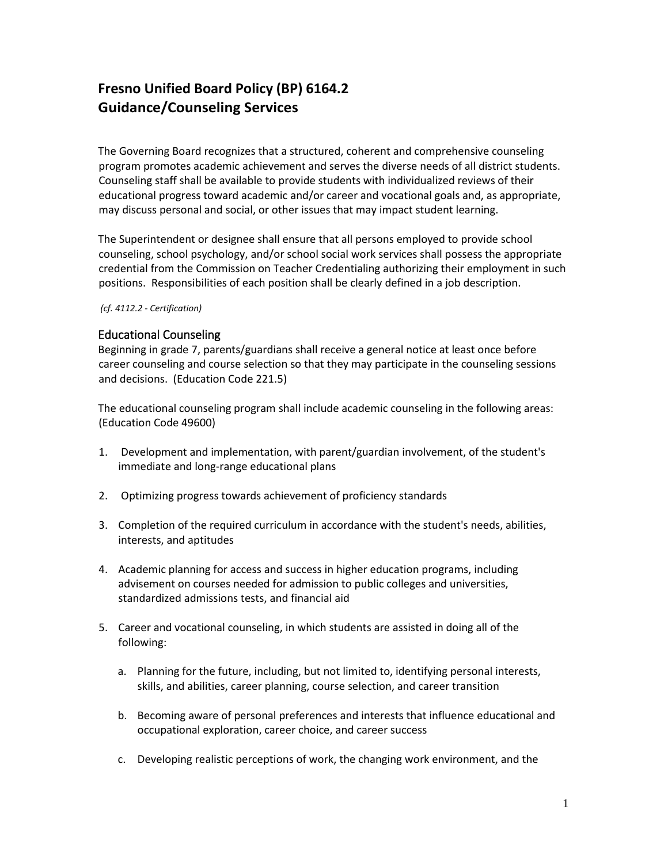## **Fresno Unified Board Policy (BP) 6164.2 Guidance/Counseling Services**

The Governing Board recognizes that a structured, coherent and comprehensive counseling program promotes academic achievement and serves the diverse needs of all district students. Counseling staff shall be available to provide students with individualized reviews of their educational progress toward academic and/or career and vocational goals and, as appropriate, may discuss personal and social, or other issues that may impact student learning.

The Superintendent or designee shall ensure that all persons employed to provide school counseling, school psychology, and/or school social work services shall possess the appropriate credential from the Commission on Teacher Credentialing authorizing their employment in such positions. Responsibilities of each position shall be clearly defined in a job description.

## *(cf. 4112.2 - Certification)*

## Educational Counseling

Beginning in grade 7, parents/guardians shall receive a general notice at least once before career counseling and course selection so that they may participate in the counseling sessions and decisions. (Education Code 221.5)

The educational counseling program shall include academic counseling in the following areas: (Education Code 49600)

- 1. Development and implementation, with parent/guardian involvement, of the student's immediate and long-range educational plans
- 2. Optimizing progress towards achievement of proficiency standards
- 3. Completion of the required curriculum in accordance with the student's needs, abilities, interests, and aptitudes
- 4. Academic planning for access and success in higher education programs, including advisement on courses needed for admission to public colleges and universities, standardized admissions tests, and financial aid
- 5. Career and vocational counseling, in which students are assisted in doing all of the following:
	- a. Planning for the future, including, but not limited to, identifying personal interests, skills, and abilities, career planning, course selection, and career transition
	- b. Becoming aware of personal preferences and interests that influence educational and occupational exploration, career choice, and career success
	- c. Developing realistic perceptions of work, the changing work environment, and the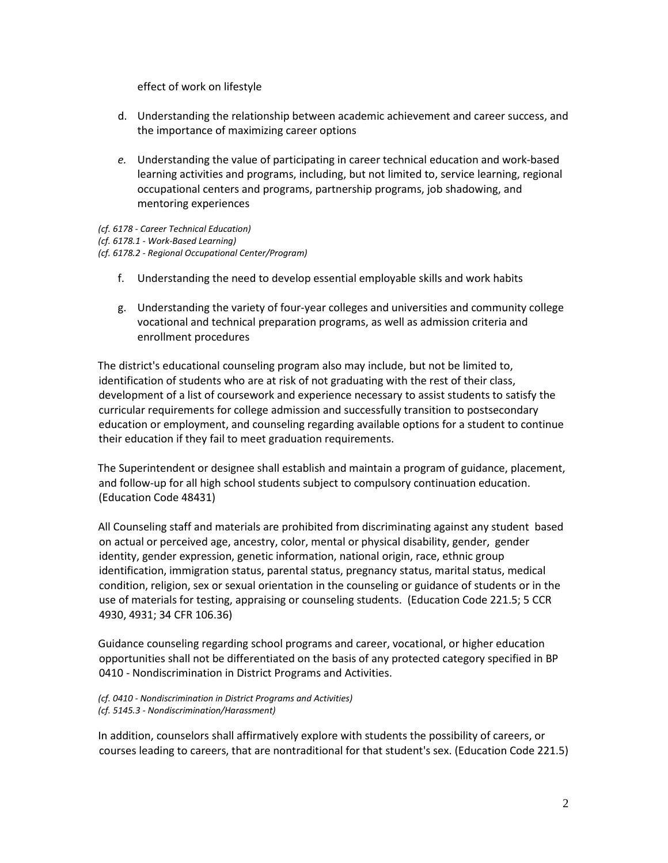effect of work on lifestyle

- d. Understanding the relationship between academic achievement and career success, and the importance of maximizing career options
- *e.* Understanding the value of participating in career technical education and work-based learning activities and programs, including, but not limited to, service learning, regional occupational centers and programs, partnership programs, job shadowing, and mentoring experiences

*(cf. 6178 - Career Technical Education) (cf. 6178.1 - Work-Based Learning) (cf. 6178.2 - Regional Occupational Center/Program)*

- f. Understanding the need to develop essential employable skills and work habits
- g. Understanding the variety of four-year colleges and universities and community college vocational and technical preparation programs, as well as admission criteria and enrollment procedures

The district's educational counseling program also may include, but not be limited to, identification of students who are at risk of not graduating with the rest of their class, development of a list of coursework and experience necessary to assist students to satisfy the curricular requirements for college admission and successfully transition to postsecondary education or employment, and counseling regarding available options for a student to continue their education if they fail to meet graduation requirements.

The Superintendent or designee shall establish and maintain a program of guidance, placement, and follow-up for all high school students subject to compulsory continuation education. (Education Code 48431)

All Counseling staff and materials are prohibited from discriminating against any student based on actual or perceived age, ancestry, color, mental or physical disability, gender, gender identity, gender expression, genetic information, national origin, race, ethnic group identification, immigration status, parental status, pregnancy status, marital status, medical condition, religion, sex or sexual orientation in the counseling or guidance of students or in the use of materials for testing, appraising or counseling students. (Education Code 221.5; 5 CCR 4930, 4931; 34 CFR 106.36)

Guidance counseling regarding school programs and career, vocational, or higher education opportunities shall not be differentiated on the basis of any protected category specified in BP 0410 - Nondiscrimination in District Programs and Activities.

*(cf. 0410 - Nondiscrimination in District Programs and Activities) (cf. 5145.3 - Nondiscrimination/Harassment)*

In addition, counselors shall affirmatively explore with students the possibility of careers, or courses leading to careers, that are nontraditional for that student's sex. (Education Code 221.5)